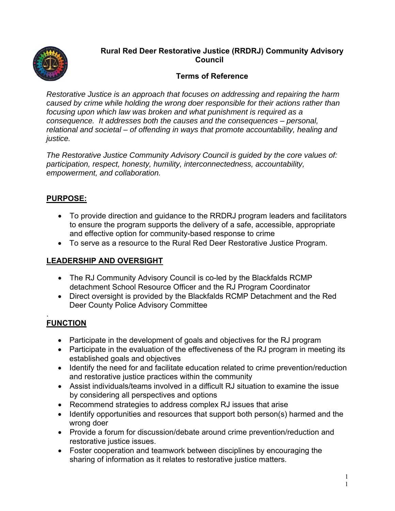

# **Rural Red Deer Restorative Justice (RRDRJ) Community Advisory Council**

# **Terms of Reference**

*Restorative Justice is an approach that focuses on addressing and repairing the harm caused by crime while holding the wrong doer responsible for their actions rather than focusing upon which law was broken and what punishment is required as a consequence. It addresses both the causes and the consequences – personal, relational and societal – of offending in ways that promote accountability, healing and justice.* 

*The Restorative Justice Community Advisory Council is guided by the core values of: participation, respect, honesty, humility, interconnectedness, accountability, empowerment, and collaboration.* 

### **PURPOSE:**

- To provide direction and guidance to the RRDRJ program leaders and facilitators to ensure the program supports the delivery of a safe, accessible, appropriate and effective option for community-based response to crime
- To serve as a resource to the Rural Red Deer Restorative Justice Program.

## **LEADERSHIP AND OVERSIGHT**

- The RJ Community Advisory Council is co-led by the Blackfalds RCMP detachment School Resource Officer and the RJ Program Coordinator
- Direct oversight is provided by the Blackfalds RCMP Detachment and the Red Deer County Police Advisory Committee

#### . **FUNCTION**

- Participate in the development of goals and objectives for the RJ program
- Participate in the evaluation of the effectiveness of the RJ program in meeting its established goals and objectives
- Identify the need for and facilitate education related to crime prevention/reduction and restorative justice practices within the community
- Assist individuals/teams involved in a difficult RJ situation to examine the issue by considering all perspectives and options
- Recommend strategies to address complex RJ issues that arise
- Identify opportunities and resources that support both person(s) harmed and the wrong doer
- Provide a forum for discussion/debate around crime prevention/reduction and restorative justice issues.
- Foster cooperation and teamwork between disciplines by encouraging the sharing of information as it relates to restorative justice matters.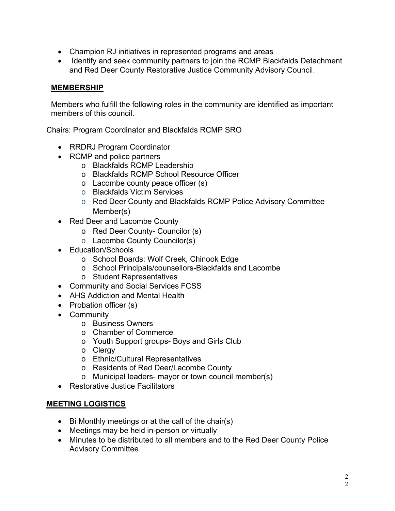- Champion RJ initiatives in represented programs and areas
- Identify and seek community partners to join the RCMP Blackfalds Detachment and Red Deer County Restorative Justice Community Advisory Council.

## **MEMBERSHIP**

Members who fulfill the following roles in the community are identified as important members of this council.

Chairs: Program Coordinator and Blackfalds RCMP SRO

- RRDRJ Program Coordinator
- RCMP and police partners
	- o Blackfalds RCMP Leadership
	- o Blackfalds RCMP School Resource Officer
	- o Lacombe county peace officer (s)
	- o Blackfalds Victim Services
	- o Red Deer County and Blackfalds RCMP Police Advisory Committee Member(s)
- Red Deer and Lacombe County
	- o Red Deer County- Councilor (s)
	- o Lacombe County Councilor(s)
- **Education/Schools** 
	- o School Boards: Wolf Creek, Chinook Edge
	- o School Principals/counsellors-Blackfalds and Lacombe
	- o Student Representatives
- Community and Social Services FCSS
- AHS Addiction and Mental Health
- Probation officer (s)
- Community
	- o Business Owners
	- o Chamber of Commerce
	- o Youth Support groups- Boys and Girls Club
	- o Clergy
	- o Ethnic/Cultural Representatives
	- o Residents of Red Deer/Lacombe County
	- o Municipal leaders- mayor or town council member(s)
- Restorative Justice Facilitators

### **MEETING LOGISTICS**

- $\bullet$  Bi Monthly meetings or at the call of the chair(s)
- Meetings may be held in-person or virtually
- Minutes to be distributed to all members and to the Red Deer County Police Advisory Committee